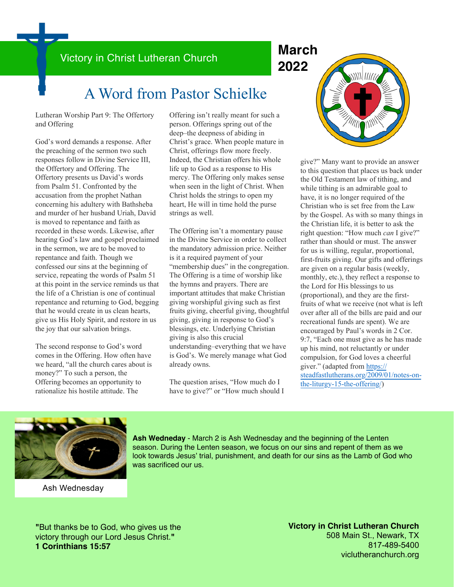## Victory in Christ Lutheran Church **March**

# **2022**

## A Word from Pastor Schielke

Lutheran Worship Part 9: The Offertory and Offering

God's word demands a response. After the preaching of the sermon two such responses follow in Divine Service III, the Offertory and Offering. The Offertory presents us David's words from Psalm 51. Confronted by the accusation from the prophet Nathan concerning his adultery with Bathsheba and murder of her husband Uriah, David is moved to repentance and faith as recorded in these words. Likewise, after hearing God's law and gospel proclaimed in the sermon, we are to be moved to repentance and faith. Though we confessed our sins at the beginning of service, repeating the words of Psalm 51 at this point in the service reminds us that the life of a Christian is one of continual repentance and returning to God, begging that he would create in us clean hearts, give us His Holy Spirit, and restore in us the joy that our salvation brings.

The second response to God's word comes in the Offering. How often have we heard, "all the church cares about is money?" To such a person, the Offering becomes an opportunity to rationalize his hostile attitude. The

Offering isn't really meant for such a person. Offerings spring out of the deep–the deepness of abiding in Christ's grace. When people mature in Christ, offerings flow more freely. Indeed, the Christian offers his whole life up to God as a response to His mercy. The Offering only makes sense when seen in the light of Christ. When Christ holds the strings to open my heart, He will in time hold the purse strings as well.

The Offering isn't a momentary pause in the Divine Service in order to collect the mandatory admission price. Neither is it a required payment of your "membership dues" in the congregation. The Offering is a time of worship like the hymns and prayers. There are important attitudes that make Christian giving worshipful giving such as first fruits giving, cheerful giving, thoughtful giving, giving in response to God's blessings, etc. Underlying Christian giving is also this crucial understanding–everything that we have is God's. We merely manage what God already owns.

The question arises, "How much do I have to give?" or "How much should I



give?" Many want to provide an answer to this question that places us back under the Old Testament law of tithing, and while tithing is an admirable goal to have, it is no longer required of the Christian who is set free from the Law by the Gospel. As with so many things in the Christian life, it is better to ask the right question: "How much *can* I give?" rather than should or must. The answer for us is willing, regular, proportional, first-fruits giving. Our gifts and offerings are given on a regular basis (weekly, monthly, etc.), they reflect a response to the Lord for His blessings to us (proportional), and they are the firstfruits of what we receive (not what is left over after all of the bills are paid and our recreational funds are spent). We are encouraged by Paul's words in 2 Cor. 9:7, "Each one must give as he has made up his mind, not reluctantly or under compulsion, for God loves a cheerful giver." (adapted from [https://](https://steadfastlutherans.org/2009/01/notes-on-the-liturgy-15-the-offering/) [steadfastlutherans.org/2009/01/notes-on](https://steadfastlutherans.org/2009/01/notes-on-the-liturgy-15-the-offering/)[the-liturgy-15-the-offering/\)](https://steadfastlutherans.org/2009/01/notes-on-the-liturgy-15-the-offering/)



Ash Wednesday

**Ash Wedneday** - March 2 is Ash Wednesday and the beginning of the Lenten season. During the Lenten season, we focus on our sins and repent of them as we look towards Jesus' trial, punishment, and death for our sins as the Lamb of God who was sacrificed our us.

**"**But thanks be to God, who gives us the victory through our Lord Jesus Christ.**" 1 Corinthians 15:57**

**Victory in Christ Lutheran Church** 508 Main St., Newark, TX 817-489-5400 viclutheranchurch.org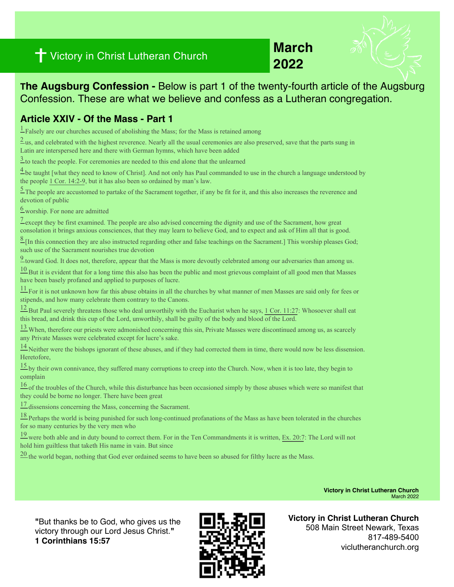## **1** Victory in Christ Lutheran Church<br>
2022

# **March**

**The Augsburg Confession -** Below is part 1 of the twenty-fourth article of the Augsburg Confession. These are what we believe and confess as a Lutheran congregation.

#### **Article XXIV - Of the Mass - Part 1**

 $\frac{1}{2}$  Falsely are our churches accused of abolishing the Mass; for the Mass is retained among

 $2<sub>us</sub>$ , and celebrated with the highest reverence. Nearly all the usual ceremonies are also preserved, save that the parts sung in Latin are interspersed here and there with German hymns, which have been added

 $\frac{3}{2}$  to teach the people. For ceremonies are needed to this end alone that the unlearned

 $\frac{4}{1}$  be taught [what they need to know of Christ]. And not only has Paul commanded to use in the church a language understood by the people [1 Cor. 14:2-9,](https://biblia.com/bible/esv/1%20Cor.%2014.2-9%22%20%5Ct%20%22_blank) but it has also been so ordained by man's law.

 $\frac{5}{2}$  The people are accustomed to partake of the Sacrament together, if any be fit for it, and this also increases the reverence and devotion of public

 $6$  worship. For none are admitted

 $\frac{7}{2}$  except they be first examined. The people are also advised concerning the dignity and use of the Sacrament, how great consolation it brings anxious consciences, that they may learn to believe God, and to expect and ask of Him all that is good.

 $\frac{8}{2}$  [In this connection they are also instructed regarding other and false teachings on the Sacrament.] This worship pleases God; such use of the Sacrament nourishes true devotion

[9](https://boc.confident.faith/ac-xxiv-0009%22%20%5Ct%20%22_blank) toward God. It does not, therefore, appear that the Mass is more devoutly celebrated among our adversaries than among us.

 $10$  But it is evident that for a long time this also has been the public and most grievous complaint of all good men that Masses have been basely profaned and applied to purposes of lucre.

 $\frac{11}{11}$  For it is not unknown how far this abuse obtains in all the churches by what manner of men Masses are said only for fees or stipends, and how many celebrate them contrary to the Canons.

 $\frac{12}{2}$  But Paul severely threatens those who deal unworthily with the Eucharist when he says, [1 Cor. 11:27](https://biblia.com/bible/esv/1%20Cor.%2011.27%22%20%5Ct%20%22_blank): Whosoever shall eat this bread, and drink this cup of the Lord, unworthily, shall be guilty of the body and blood of the Lord.

[13 W](https://boc.confident.faith/ac-xxiv-0013%22%20%5Ct%20%22_blank)hen, therefore our priests were admonished concerning this sin, Private Masses were discontinued among us, as scarcely any Private Masses were celebrated except for lucre's sake.

[14 N](https://boc.confident.faith/ac-xxiv-0014%22%20%5Ct%20%22_blank)either were the bishops ignorant of these abuses, and if they had corrected them in time, there would now be less dissension. Heretofore,

 $\frac{15}{15}$  by their own connivance, they suffered many corruptions to creep into the Church. Now, when it is too late, they begin to complain

 $\frac{16}{16}$  of the troubles of the Church, while this disturbance has been occasioned simply by those abuses which were so manifest that they could be borne no longer. There have been great

[17 d](https://boc.confident.faith/ac-xxiv-0017%22%20%5Ct%20%22_blank)issensions concerning the Mass, concerning the Sacrament.

[18 P](https://boc.confident.faith/ac-xxiv-0018%22%20%5Ct%20%22_blank)erhaps the world is being punished for such long-continued profanations of the Mass as have been tolerated in the churches for so many centuries by the very men who

 $\frac{19}{2}$  were both able and in duty bound to correct them. For in the Ten Commandments it is written, [Ex. 20:7:](https://biblia.com/bible/esv/Exod.%2020.7%22%20%5Ct%20%22_blank) The Lord will not hold him guiltless that taketh His name in vain. But since

<sup>20</sup> the world began, nothing that God ever ordained seems to have been so abused for filthy lucre as the Mass.

**Victory in Christ Lutheran Church**  March 2022

**"**But thanks be to God, who gives us the victory through our Lord Jesus Christ.**" 1 Corinthians 15:57**



**Victory in Christ Lutheran Church** 508 Main Street Newark, Texas 817-489-5400 viclutheranchurch.org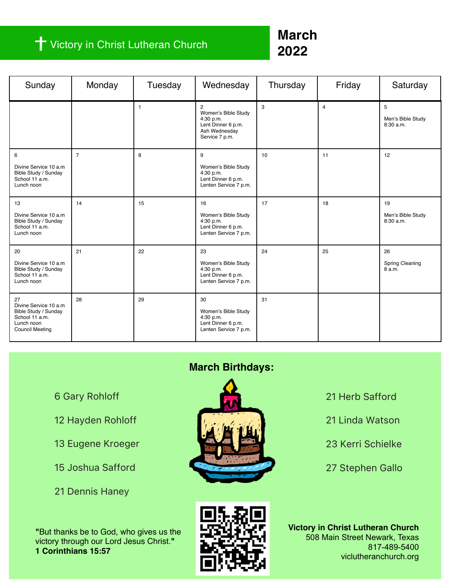### Victory in Christ Lutheran Church

## **March 2022**

| Sunday                                                                                                        | Monday         | Tuesday      | Wednesday                                                                                                   | Thursday | Friday         | Saturday                             |
|---------------------------------------------------------------------------------------------------------------|----------------|--------------|-------------------------------------------------------------------------------------------------------------|----------|----------------|--------------------------------------|
|                                                                                                               |                | $\mathbf{1}$ | $\overline{c}$<br>Women's Bible Study<br>4:30 p.m.<br>Lent Dinner 6 p.m.<br>Ash Wednesday<br>Service 7 p.m. | 3        | $\overline{4}$ | 5<br>Men's Bible Study<br>8:30 a.m.  |
| 6<br>Divine Service 10 a.m.<br>Bible Study / Sunday<br>School 11 a.m.<br>Lunch noon                           | $\overline{7}$ | 8            | 9<br>Women's Bible Study<br>4:30 p.m.<br>Lent Dinner 6 p.m.<br>Lenten Service 7 p.m.                        | 10       | 11             | 12                                   |
| 13<br>Divine Service 10 a.m.<br>Bible Study / Sunday<br>School 11 a.m.<br>Lunch noon                          | 14             | 15           | 16<br>Women's Bible Study<br>4:30 p.m.<br>Lent Dinner 6 p.m.<br>Lenten Service 7 p.m.                       | 17       | 18             | 19<br>Men's Bible Study<br>8:30 a.m. |
| 20<br>Divine Service 10 a.m.<br>Bible Study / Sunday<br>School 11 a.m.<br>Lunch noon                          | 21             | 22           | 23<br>Women's Bible Study<br>4:30 p.m.<br>Lent Dinner 6 p.m.<br>Lenten Service 7 p.m.                       | 24       | 25             | 26<br>Spring Cleaning<br>8 a.m.      |
| 27<br>Divine Service 10 a.m<br>Bible Study / Sunday<br>School 11 a.m.<br>Lunch noon<br><b>Council Meeting</b> | 28             | 29           | 30<br>Women's Bible Study<br>4:30 p.m.<br>Lent Dinner 6 p.m.<br>Lenten Service 7 p.m.                       | 31       |                |                                      |

6 Gary Rohloff

- 12 Hayden Rohloff
- 13 Eugene Kroeger
- 15 Joshua Safford
- 21 Dennis Haney

**"**But thanks be to God, who gives us the victory through our Lord Jesus Christ.**" 1 Corinthians 15:57**

### **March Birthdays:**







21 Herb Safford

- 21 Linda Watson
- 23 Kerri Schielke
- 27 Stephen Gallo

**Victory in Christ Lutheran Church** 508 Main Street Newark, Texas 817-489-5400 viclutheranchurch.org